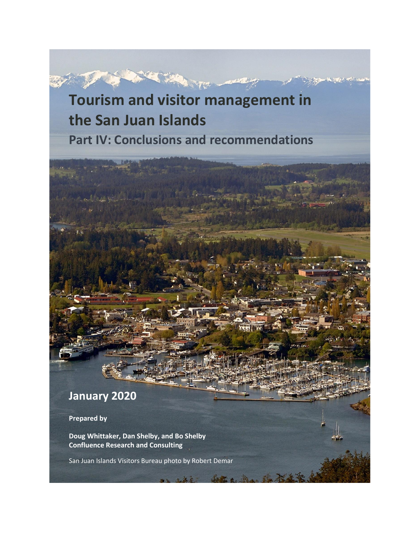# **Tourism and visitor management in the San Juan Islands Part IV: Conclusions and recommendations**



**Prepared by**

**Doug Whittaker, Dan Shelby, and Bo Shelby Confluence Research and Consulting**

San Juan Islands Visitors Bureau photo by Robert Demar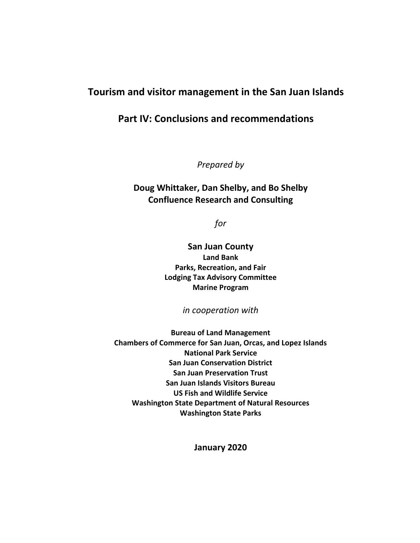# **Tourism and visitor management in the San Juan Islands**

# **Part IV: Conclusions and recommendations**

*Prepared by*

### **Doug Whittaker, Dan Shelby, and Bo Shelby Confluence Research and Consulting**

*for*

**San Juan County Land Bank Parks, Recreation, and Fair Lodging Tax Advisory Committee Marine Program** 

*in cooperation with* 

**Bureau of Land Management Chambers of Commerce for San Juan, Orcas, and Lopez Islands National Park Service San Juan Conservation District San Juan Preservation Trust San Juan Islands Visitors Bureau US Fish and Wildlife Service Washington State Department of Natural Resources Washington State Parks**

**January 2020**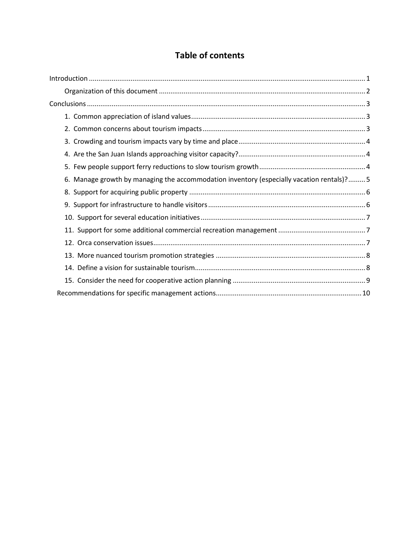# **Table of contents**

| 6. Manage growth by managing the accommodation inventory (especially vacation rentals)?5 |
|------------------------------------------------------------------------------------------|
|                                                                                          |
|                                                                                          |
|                                                                                          |
|                                                                                          |
|                                                                                          |
|                                                                                          |
|                                                                                          |
|                                                                                          |
|                                                                                          |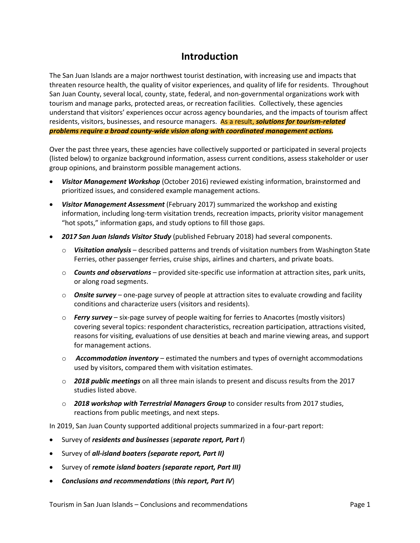# **Introduction**

<span id="page-3-0"></span>The San Juan Islands are a major northwest tourist destination, with increasing use and impacts that threaten resource health, the quality of visitor experiences, and quality of life for residents. Throughout San Juan County, several local, county, state, federal, and non-governmental organizations work with tourism and manage parks, protected areas, or recreation facilities. Collectively, these agencies understand that visitors' experiences occur across agency boundaries, and the impacts of tourism affect residents, visitors, businesses, and resource managers. As a result, *solutions for tourism-related problems require a broad county-wide vision along with coordinated management actions.*

Over the past three years, these agencies have collectively supported or participated in several projects (listed below) to organize background information, assess current conditions, assess stakeholder or user group opinions, and brainstorm possible management actions.

- *Visitor Management Workshop* (October 2016) reviewed existing information, brainstormed and prioritized issues, and considered example management actions.
- *Visitor Management Assessment* (February 2017) summarized the workshop and existing information, including long-term visitation trends, recreation impacts, priority visitor management "hot spots," information gaps, and study options to fill those gaps.
- *2017 San Juan Islands Visitor Study* (published February 2018) had several components.
	- o *Visitation analysis* described patterns and trends of visitation numbers from Washington State Ferries, other passenger ferries, cruise ships, airlines and charters, and private boats.
	- o *Counts and observations*  provided site-specific use information at attraction sites, park units, or along road segments.
	- o *Onsite survey*  one-page survey of people at attraction sites to evaluate crowding and facility conditions and characterize users (visitors and residents).
	- o *Ferry survey* six-page survey of people waiting for ferries to Anacortes (mostly visitors) covering several topics: respondent characteristics, recreation participation, attractions visited, reasons for visiting, evaluations of use densities at beach and marine viewing areas, and support for management actions.
	- o *Accommodation inventory*  estimated the numbers and types of overnight accommodations used by visitors, compared them with visitation estimates.
	- o *2018 public meetings* on all three main islands to present and discuss results from the 2017 studies listed above.
	- o *2018 workshop with Terrestrial Managers Group* to consider results from 2017 studies, reactions from public meetings, and next steps.

In 2019, San Juan County supported additional projects summarized in a four-part report:

- Survey of *residents and businesses* (*separate report, Part I*)
- Survey of *all-island boaters (separate report, Part II)*
- Survey of *remote island boaters (separate report, Part III)*
- *Conclusions and recommendations* (*this report, Part IV*)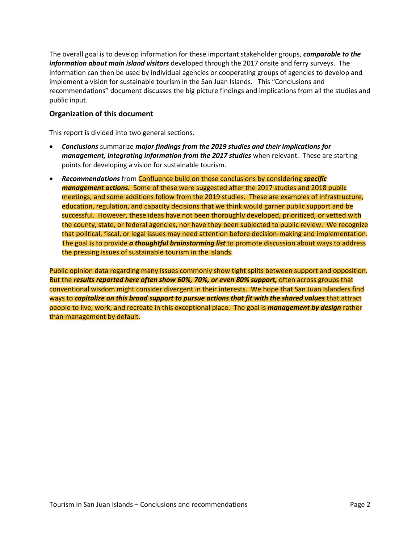The overall goal is to develop information for these important stakeholder groups, *comparable to the information about main island visitors* developed through the 2017 onsite and ferry surveys. The information can then be used by individual agencies or cooperating groups of agencies to develop and implement a vision for sustainable tourism in the San Juan Islands. This "Conclusions and recommendations" document discusses the big picture findings and implications from all the studies and public input.

#### <span id="page-4-0"></span>**Organization of this document**

This report is divided into two general sections.

- *Conclusions* summarize *major findings from the 2019 studies and their implications for management, integrating information from the 2017 studies* when relevant. These are starting points for developing a vision for sustainable tourism.
- *Recommendations* from Confluence build on those conclusions by considering *specific management actions.* Some of these were suggested after the 2017 studies and 2018 public meetings, and some additions follow from the 2019 studies. These are examples of infrastructure, education, regulation, and capacity decisions that we think would garner public support and be successful. However, these ideas have not been thoroughly developed, prioritized, or vetted with the county, state, or federal agencies, nor have they been subjected to public review. We recognize that political, fiscal, or legal issues may need attention before decision-making and implementation. The goal is to provide *a thoughtful brainstorming list* to promote discussion about ways to address the pressing issues of sustainable tourism in the islands.

Public opinion data regarding many issues commonly show tight splits between support and opposition. But the *results reported here often show 60%, 70%, or even 80% support,* often across groups that conventional wisdom might consider divergent in their interests. We hope that San Juan Islanders find ways to *capitalize on this broad support to pursue actions that fit with the shared values* that attract people to live, work, and recreate in this exceptional place. The goal is *management by design* rather than management by default.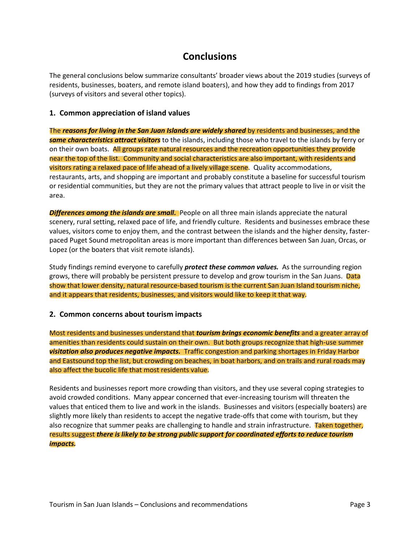# <span id="page-5-1"></span>**Conclusions**

<span id="page-5-0"></span>The general conclusions below summarize consultants' broader views about the 2019 studies (surveys of residents, businesses, boaters, and remote island boaters), and how they add to findings from 2017 (surveys of visitors and several other topics).

#### **1. Common appreciation of island values**

The *reasons for living in the San Juan Islands are widely shared* by residents and businesses, and the *same characteristics attract visitors* to the islands, including those who travel to the islands by ferry or on their own boats. All groups rate natural resources and the recreation opportunities they provide near the top of the list. Community and social characteristics are also important, with residents and visitors rating a relaxed pace of life ahead of a lively village scene. Quality accommodations, restaurants, arts, and shopping are important and probably constitute a baseline for successful tourism or residential communities, but they are not the primary values that attract people to live in or visit the area.

*Differences among the islands are small.* People on all three main islands appreciate the natural scenery, rural setting, relaxed pace of life, and friendly culture. Residents and businesses embrace these values, visitors come to enjoy them, and the contrast between the islands and the higher density, fasterpaced Puget Sound metropolitan areas is more important than differences between San Juan, Orcas, or Lopez (or the boaters that visit remote islands).

Study findings remind everyone to carefully *protect these common values.* As the surrounding region grows, there will probably be persistent pressure to develop and grow tourism in the San Juans. Data show that lower density, natural resource-based tourism is the current San Juan Island tourism niche, and it appears that residents, businesses, and visitors would like to keep it that way.

#### <span id="page-5-2"></span>**2. Common concerns about tourism impacts**

Most residents and businesses understand that *tourism brings economic benefits* and a greater array of amenities than residents could sustain on their own. But both groups recognize that high-use summer *visitation also produces negative impacts.* Traffic congestion and parking shortages in Friday Harbor and Eastsound top the list, but crowding on beaches, in boat harbors, and on trails and rural roads may also affect the bucolic life that most residents value.

Residents and businesses report more crowding than visitors, and they use several coping strategies to avoid crowded conditions. Many appear concerned that ever-increasing tourism will threaten the values that enticed them to live and work in the islands. Businesses and visitors (especially boaters) are slightly more likely than residents to accept the negative trade-offs that come with tourism, but they also recognize that summer peaks are challenging to handle and strain infrastructure. Taken together, results suggest *there is likely to be strong public support for coordinated efforts to reduce tourism impacts.*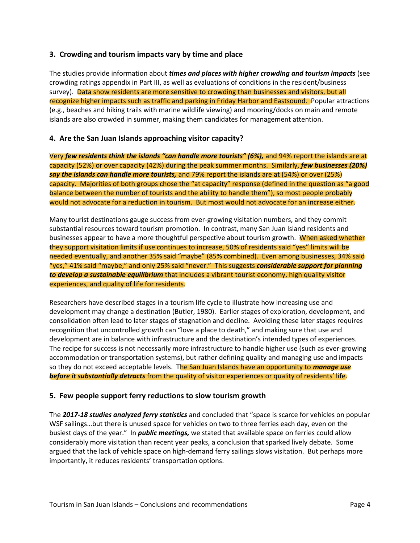#### <span id="page-6-0"></span>**3. Crowding and tourism impacts vary by time and place**

The studies provide information about *times and places with higher crowding and tourism impacts* (see crowding ratings appendix in Part III, as well as evaluations of conditions in the resident/business survey). Data show residents are more sensitive to crowding than businesses and visitors, but all recognize higher impacts such as traffic and parking in Friday Harbor and Eastsound. Popular attractions (e.g., beaches and hiking trails with marine wildlife viewing) and mooring/docks on main and remote islands are also crowded in summer, making them candidates for management attention.

#### <span id="page-6-1"></span>**4. Are the San Juan Islands approaching visitor capacity?**

Very *few residents think the islands "can handle more tourists" (6%),* and 94% report the islands are at capacity (52%) or over capacity (42%) during the peak summer months. Similarly, *few businesses (20%) say the islands can handle more tourists,* and 79% report the islands are at (54%) or over (25%) capacity. Majorities of both groups chose the "at capacity" response (defined in the question as "a good balance between the number of tourists and the ability to handle them"), so most people probably would not advocate for a reduction in tourism. But most would not advocate for an increase either.

Many tourist destinations gauge success from ever-growing visitation numbers, and they commit substantial resources toward tourism promotion. In contrast, many San Juan Island residents and businesses appear to have a more thoughtful perspective about tourism growth. When asked whether they support visitation limits if use continues to increase, 50% of residents said "yes" limits will be needed eventually, and another 35% said "maybe" (85% combined). Even among businesses, 34% said "yes," 41% said "maybe," and only 25% said "never." This suggests *considerable support for planning to develop a sustainable equilibrium* that includes a vibrant tourist economy, high quality visitor experiences, and quality of life for residents.

Researchers have described stages in a tourism life cycle to illustrate how increasing use and development may change a destination (Butler, 1980). Earlier stages of exploration, development, and consolidation often lead to later stages of stagnation and decline. Avoiding these later stages requires recognition that uncontrolled growth can "love a place to death," and making sure that use and development are in balance with infrastructure and the destination's intended types of experiences. The recipe for success is not necessarily more infrastructure to handle higher use (such as ever-growing accommodation or transportation systems), but rather defining quality and managing use and impacts so they do not exceed acceptable levels. The San Juan Islands have an opportunity to *manage use before it substantially detracts* from the quality of visitor experiences or quality of residents' life.

#### <span id="page-6-2"></span>**5. Few people support ferry reductions to slow tourism growth**

The *2017-18 studies analyzed ferry statistics* and concluded that "space is scarce for vehicles on popular WSF sailings…but there is unused space for vehicles on two to three ferries each day, even on the busiest days of the year." In *public meetings,* we stated that available space on ferries could allow considerably more visitation than recent year peaks, a conclusion that sparked lively debate. Some argued that the lack of vehicle space on high-demand ferry sailings slows visitation. But perhaps more importantly, it reduces residents' transportation options.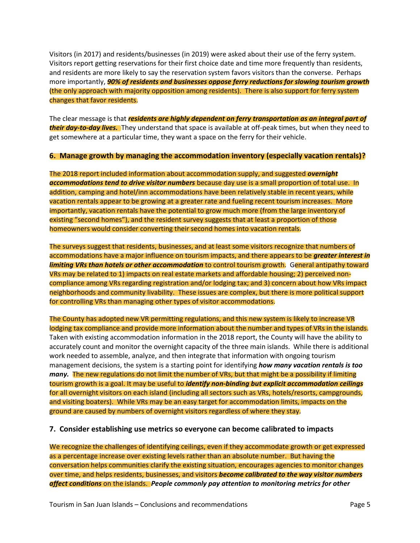Visitors (in 2017) and residents/businesses (in 2019) were asked about their use of the ferry system. Visitors report getting reservations for their first choice date and time more frequently than residents, and residents are more likely to say the reservation system favors visitors than the converse. Perhaps more importantly, *90% of residents and businesses oppose ferry reductions for slowing tourism growth* (the only approach with majority opposition among residents). There is also support for ferry system changes that favor residents.

The clear message is that *residents are highly dependent on ferry transportation as an integral part of their day-to-day lives.* They understand that space is available at off-peak times, but when they need to get somewhere at a particular time, they want a space on the ferry for their vehicle.

#### <span id="page-7-0"></span>**6. Manage growth by managing the accommodation inventory (especially vacation rentals)?**

The 2018 report included information about accommodation supply, and suggested *overnight accommodations tend to drive visitor numbers* because day use is a small proportion of total use. In addition, camping and hotel/inn accommodations have been relatively stable in recent years, while vacation rentals appear to be growing at a greater rate and fueling recent tourism increases. More importantly, vacation rentals have the potential to grow much more (from the large inventory of existing "second homes"), and the resident survey suggests that at least a proportion of those homeowners would consider converting their second homes into vacation rentals.

The surveys suggest that residents, businesses, and at least some visitors recognize that numbers of accommodations have a major influence on tourism impacts, and there appears to be *greater interest in limiting VRs than hotels or other accommodation* to control tourism growth. General antipathy toward VRs may be related to 1) impacts on real estate markets and affordable housing; 2) perceived noncompliance among VRs regarding registration and/or lodging tax; and 3) concern about how VRs impact neighborhoods and community livability. These issues are complex, but there is more political support for controlling VRs than managing other types of visitor accommodations.

The County has adopted new VR permitting regulations, and this new system is likely to increase VR lodging tax compliance and provide more information about the number and types of VRs in the islands. Taken with existing accommodation information in the 2018 report, the County will have the ability to accurately count and monitor the overnight capacity of the three main islands. While there is additional work needed to assemble, analyze, and then integrate that information with ongoing tourism management decisions, the system is a starting point for identifying *how many vacation rentals is too many.* The new regulations do not limit the number of VRs, but that might be a possibility if limiting tourism growth is a goal. It may be useful to *identify non-binding but explicit accommodation ceilings* for all overnight visitors on each island (including all sectors such as VRs, hotels/resorts, campgrounds, and visiting boaters). While VRs may be an easy target for accommodation limits, impacts on the ground are caused by numbers of overnight visitors regardless of where they stay.

#### **7. Consider establishing use metrics so everyone can become calibrated to impacts**

We recognize the challenges of identifying ceilings, even if they accommodate growth or get expressed as a percentage increase over existing levels rather than an absolute number. But having the conversation helps communities clarify the existing situation, encourages agencies to monitor changes over time, and helps residents, businesses, and visitors *become calibrated to the way visitor numbers affect conditions* on the islands. *People commonly pay attention to monitoring metrics for other*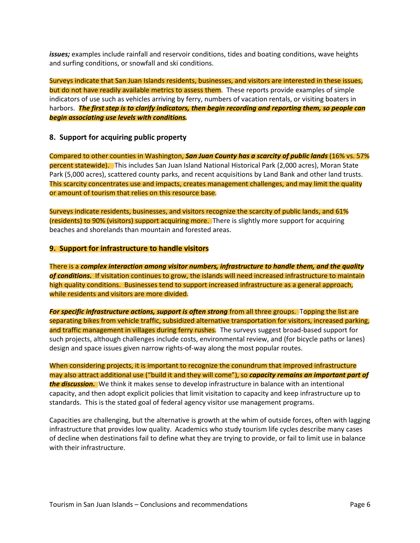*issues;* examples include rainfall and reservoir conditions, tides and boating conditions, wave heights and surfing conditions, or snowfall and ski conditions.

Surveys indicate that San Juan Islands residents, businesses, and visitors are interested in these issues, but do not have readily available metrics to assess them. These reports provide examples of simple indicators of use such as vehicles arriving by ferry, numbers of vacation rentals, or visiting boaters in harbors. *The first step is to clarify indicators, then begin recording and reporting them, so people can begin associating use levels with conditions.* 

#### <span id="page-8-0"></span>**8. Support for acquiring public property**

Compared to other counties in Washington, *San Juan County has a scarcity of public lands* (16% vs. 57% percent statewide). This includes San Juan Island National Historical Park (2,000 acres), Moran State Park (5,000 acres), scattered county parks, and recent acquisitions by Land Bank and other land trusts. This scarcity concentrates use and impacts, creates management challenges, and may limit the quality or amount of tourism that relies on this resource base.

Surveys indicate residents, businesses, and visitors recognize the scarcity of public lands, and 61% (residents) to 90% (visitors) support acquiring more. There is slightly more support for acquiring beaches and shorelands than mountain and forested areas.

#### <span id="page-8-1"></span>**9. Support for infrastructure to handle visitors**

There is a *complex interaction among visitor numbers, infrastructure to handle them, and the quality of conditions.* If visitation continues to grow, the islands will need increased infrastructure to maintain high quality conditions. Businesses tend to support increased infrastructure as a general approach, while residents and visitors are more divided.

*For specific infrastructure actions, support is often strong* from all three groups. Topping the list are separating bikes from vehicle traffic, subsidized alternative transportation for visitors, increased parking, and traffic management in villages during ferry rushes. The surveys suggest broad-based support for such projects, although challenges include costs, environmental review, and (for bicycle paths or lanes) design and space issues given narrow rights-of-way along the most popular routes.

When considering projects, it is important to recognize the conundrum that improved infrastructure may also attract additional use ("build it and they will come"), so *capacity remains an important part of the discussion.* We think it makes sense to develop infrastructure in balance with an intentional capacity, and then adopt explicit policies that limit visitation to capacity and keep infrastructure up to standards. This is the stated goal of federal agency visitor use management programs.

Capacities are challenging, but the alternative is growth at the whim of outside forces, often with lagging infrastructure that provides low quality. Academics who study tourism life cycles describe many cases of decline when destinations fail to define what they are trying to provide, or fail to limit use in balance with their infrastructure.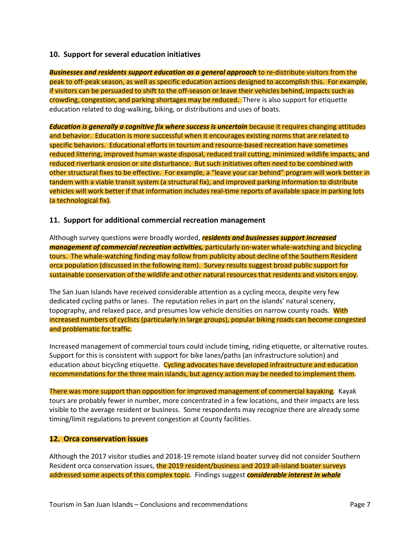#### <span id="page-9-0"></span>**10. Support for several education initiatives**

*Businesses and residents support education as a general approach* to re-distribute visitors from the peak to off-peak season, as well as specific education actions designed to accomplish this. For example, if visitors can be persuaded to shift to the off-season or leave their vehicles behind, impacts such as crowding, congestion, and parking shortages may be reduced. There is also support for etiquette education related to dog-walking, biking, or distributions and uses of boats.

*Education is generally a cognitive fix where success is uncertain* because it requires changing attitudes and behavior. Education is more successful when it encourages existing norms that are related to specific behaviors. Educational efforts in tourism and resource-based recreation have sometimes reduced littering, improved human waste disposal, reduced trail cutting, minimized wildlife impacts, and reduced riverbank erosion or site disturbance. But such initiatives often need to be combined with other structural fixes to be effective. For example, a "leave your car behind" program will work better in tandem with a viable transit system (a structural fix), and improved parking information to distribute vehicles will work better if that information includes real-time reports of available space in parking lots (a technological fix).

#### <span id="page-9-1"></span>**11. Support for additional commercial recreation management**

Although survey questions were broadly worded, *residents and businesses support increased management of commercial recreation activities,* particularly on-water whale-watching and bicycling tours. The whale-watching finding may follow from publicity about decline of the Southern Resident orca population (discussed in the following item). Survey results suggest broad public support for sustainable conservation of the wildlife and other natural resources that residents and visitors enjoy.

The San Juan Islands have received considerable attention as a cycling mecca, despite very few dedicated cycling paths or lanes. The reputation relies in part on the islands' natural scenery, topography, and relaxed pace, and presumes low vehicle densities on narrow county roads. With increased numbers of cyclists (particularly in large groups), popular biking roads can become congested and problematic for traffic.

Increased management of commercial tours could include timing, riding etiquette, or alternative routes. Support for this is consistent with support for bike lanes/paths (an infrastructure solution) and education about bicycling etiquette. Cycling advocates have developed infrastructure and education recommendations for the three main islands, but agency action may be needed to implement them.

There was more support than opposition for improved management of commercial kayaking. Kayak tours are probably fewer in number, more concentrated in a few locations, and their impacts are less visible to the average resident or business. Some respondents may recognize there are already some timing/limit regulations to prevent congestion at County facilities.

#### <span id="page-9-2"></span>**12. Orca conservation issues**

Although the 2017 visitor studies and 2018-19 remote island boater survey did not consider Southern Resident orca conservation issues, the 2019 resident/business and 2019 all-island boater surveys addressed some aspects of this complex topic. Findings suggest *considerable interest in whale*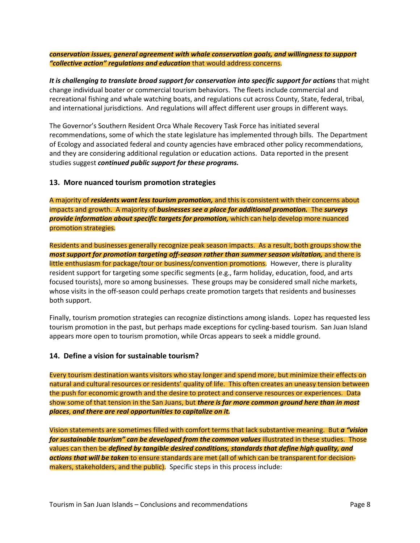*conservation issues, general agreement with whale conservation goals, and willingness to support "collective action" regulations and education* that would address concerns.

*It is challenging to translate broad support for conservation into specific support for actions* that might change individual boater or commercial tourism behaviors. The fleets include commercial and recreational fishing and whale watching boats, and regulations cut across County, State, federal, tribal, and international jurisdictions. And regulations will affect different user groups in different ways.

The Governor's Southern Resident Orca Whale Recovery Task Force has initiated several recommendations, some of which the state legislature has implemented through bills. The Department of Ecology and associated federal and county agencies have embraced other policy recommendations, and they are considering additional regulation or education actions. Data reported in the present studies suggest *continued public support for these programs.* 

#### <span id="page-10-0"></span>**13. More nuanced tourism promotion strategies**

A majority of *residents want less tourism promotion,* and this is consistent with their concerns about impacts and growth. A majority of *businesses see a place for additional promotion.* The *surveys provide information about specific targets for promotion,* **which can help develop more nuanced** promotion strategies.

Residents and businesses generally recognize peak season impacts. As a result, both groups show the *most support for promotion targeting off-season rather than summer season visitation,* and there is little enthusiasm for package/tour or business/convention promotions. However, there is plurality resident support for targeting some specific segments (e.g., farm holiday, education, food, and arts focused tourists), more so among businesses. These groups may be considered small niche markets, whose visits in the off-season could perhaps create promotion targets that residents and businesses both support.

Finally, tourism promotion strategies can recognize distinctions among islands. Lopez has requested less tourism promotion in the past, but perhaps made exceptions for cycling-based tourism. San Juan Island appears more open to tourism promotion, while Orcas appears to seek a middle ground.

#### <span id="page-10-1"></span>**14. Define a vision for sustainable tourism?**

Every tourism destination wants visitors who stay longer and spend more, but minimize their effects on natural and cultural resources or residents' quality of life. This often creates an uneasy tension between the push for economic growth and the desire to protect and conserve resources or experiences. Data show some of that tension in the San Juans, but *there is far more common ground here than in most places*, *and there are real opportunities to capitalize on it.*

Vision statements are sometimes filled with comfort terms that lack substantive meaning. But *a "vision for sustainable tourism" can be developed from the common values* illustrated in these studies. Those values can then be *defined by tangible desired conditions, standards that define high quality, and actions that will be taken* to ensure standards are met (all of which can be transparent for decisionmakers, stakeholders, and the public). Specific steps in this process include: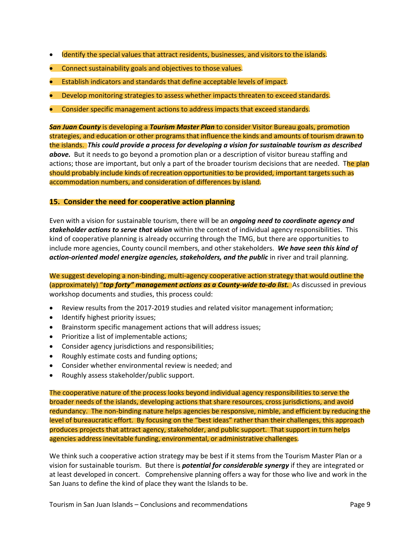- Identify the special values that attract residents, businesses, and visitors to the islands.
- Connect sustainability goals and objectives to those values.
- Establish indicators and standards that define acceptable levels of impact.
- Develop monitoring strategies to assess whether impacts threaten to exceed standards.
- Consider specific management actions to address impacts that exceed standards.

*San Juan County* is developing a *Tourism Master Plan* to consider Visitor Bureau goals, promotion strategies, and education or other programs that influence the kinds and amounts of tourism drawn to the islands. *This could provide a process for developing a vision for sustainable tourism as described above.* But it needs to go beyond a promotion plan or a description of visitor bureau staffing and actions; those are important, but only a part of the broader tourism decisions that are needed. The plan should probably include kinds of recreation opportunities to be provided, important targets such as accommodation numbers, and consideration of differences by island.

#### <span id="page-11-0"></span>**15. Consider the need for cooperative action planning**

Even with a vision for sustainable tourism, there will be an *ongoing need to coordinate agency and stakeholder actions to serve that vision* within the context of individual agency responsibilities. This kind of cooperative planning is already occurring through the TMG, but there are opportunities to include more agencies, County council members, and other stakeholders. *We have seen this kind of action-oriented model energize agencies, stakeholders, and the public* in river and trail planning.

We suggest developing a non-binding, multi-agency cooperative action strategy that would outline the (approximately) "*top forty" management actions as a County-wide to-do list.* As discussed in previous workshop documents and studies, this process could:

- Review results from the 2017-2019 studies and related visitor management information;
- Identify highest priority issues;
- Brainstorm specific management actions that will address issues;
- Prioritize a list of implementable actions;
- Consider agency jurisdictions and responsibilities;
- Roughly estimate costs and funding options;
- Consider whether environmental review is needed; and
- Roughly assess stakeholder/public support.

The cooperative nature of the process looks beyond individual agency responsibilities to serve the broader needs of the islands, developing actions that share resources, cross jurisdictions, and avoid redundancy. The non-binding nature helps agencies be responsive, nimble, and efficient by reducing the level of bureaucratic effort. By focusing on the "best ideas" rather than their challenges, this approach produces projects that attract agency, stakeholder, and public support. That support in turn helps agencies address inevitable funding, environmental, or administrative challenges.

We think such a cooperative action strategy may be best if it stems from the Tourism Master Plan or a vision for sustainable tourism. But there is *potential for considerable synergy* if they are integrated or at least developed in concert. Comprehensive planning offers a way for those who live and work in the San Juans to define the kind of place they want the Islands to be.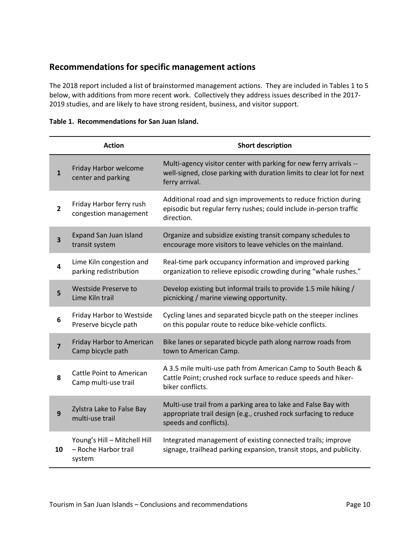### <span id="page-12-0"></span>**Recommendations for specific management actions**

The 2018 report included a list of brainstormed management actions. They are included in Tables 1 to 5 below, with additions from more recent work. Collectively they address issues described in the 2017- 2019 studies, and are likely to have strong resident, business, and visitor support.

|                         | <b>Action</b>                                      | <b>Short description</b>                                                                                                                                      |
|-------------------------|----------------------------------------------------|---------------------------------------------------------------------------------------------------------------------------------------------------------------|
| $\mathbf{1}$            | Friday Harbor welcome<br>center and parking        | Multi-agency visitor center with parking for new ferry arrivals --<br>well-signed, close parking with duration limits to clear lot for next<br>ferry arrival. |
| $\mathbf{2}$            | Friday Harbor ferry rush<br>congestion management  | Additional road and sign improvements to reduce friction during<br>episodic but regular ferry rushes; could include in-person traffic<br>direction.           |
| $\overline{\mathbf{3}}$ | <b>Expand San Juan Island</b><br>transit system    | Organize and subsidize existing transit company schedules to<br>encourage more visitors to leave vehicles on the mainland.                                    |
| 4                       | Lime Kiln congestion and<br>parking redistribution | Real-time park occupancy information and improved parking<br>organization to relieve episodic crowding during "whale rushes."                                 |
| 5                       | <b>Westside Preserve to</b><br>Lime Kiln trail     | Develop existing but informal trails to provide 1.5 mile hiking /<br>picnicking / marine viewing opportunity.                                                 |
| 6                       | Friday Harbor to Westside<br>Preserve bicycle path | Cycling lanes and separated bicycle path on the steeper inclines<br>on this popular route to reduce bike-vehicle conflicts.                                   |
| $\overline{\mathbf{z}}$ | Friday Harbor to American<br>Camp bicycle path     | Bike lanes or separated bicycle path along narrow roads from<br>town to American Camp.                                                                        |
| 8                       | Cattle Point to American<br>Camp multi-use trail   | A 3.5 mile multi-use path from American Camp to South Beach &<br>Cattle Point; crushed rock surface to reduce speeds and hiker-<br>biker conflicts.           |
| 9                       | Zylstra Lake to False Bay<br>multi-use trail       | Multi-use trail from a parking area to lake and False Bay with<br>appropriate trail design (e.g., crushed rock surfacing to reduce<br>speeds and conflicts).  |
|                         | Young's Hill - Mitchell Hill                       | Integrated management of existing connected trails; improve                                                                                                   |

signage, trailhead parking expansion, transit stops, and publicity.

#### **Table 1. Recommendations for San Juan Island.**

**10** – Roche Harbor trail

system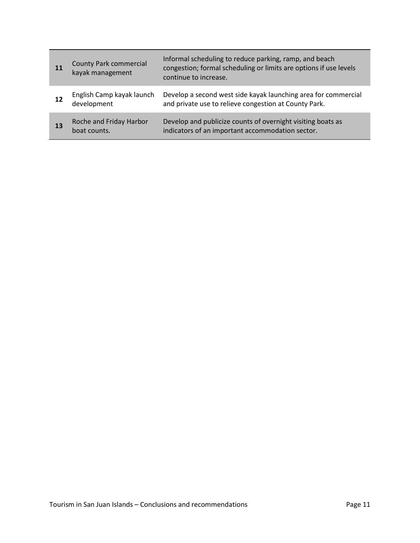| 11 | <b>County Park commercial</b><br>kayak management | Informal scheduling to reduce parking, ramp, and beach<br>congestion; formal scheduling or limits are options if use levels<br>continue to increase. |
|----|---------------------------------------------------|------------------------------------------------------------------------------------------------------------------------------------------------------|
| 12 | English Camp kayak launch<br>development          | Develop a second west side kayak launching area for commercial<br>and private use to relieve congestion at County Park.                              |
| 13 | Roche and Friday Harbor<br>boat counts.           | Develop and publicize counts of overnight visiting boats as<br>indicators of an important accommodation sector.                                      |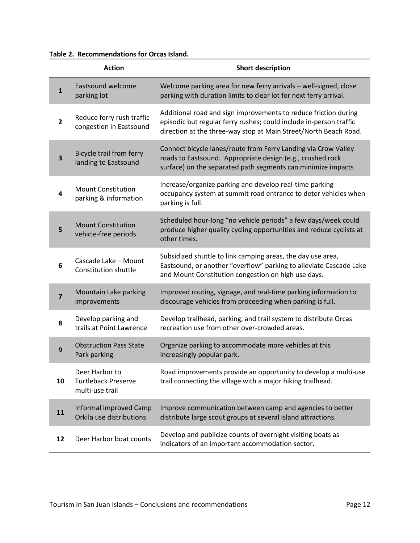#### **Table 2. Recommendations for Orcas Island.**

|                | <b>Action</b>                                                   | <b>Short description</b>                                                                                                                                                                                  |
|----------------|-----------------------------------------------------------------|-----------------------------------------------------------------------------------------------------------------------------------------------------------------------------------------------------------|
| $\mathbf{1}$   | Eastsound welcome<br>parking lot                                | Welcome parking area for new ferry arrivals - well-signed, close<br>parking with duration limits to clear lot for next ferry arrival.                                                                     |
| $\overline{2}$ | Reduce ferry rush traffic<br>congestion in Eastsound            | Additional road and sign improvements to reduce friction during<br>episodic but regular ferry rushes; could include in-person traffic<br>direction at the three-way stop at Main Street/North Beach Road. |
| 3              | Bicycle trail from ferry<br>landing to Eastsound                | Connect bicycle lanes/route from Ferry Landing via Crow Valley<br>roads to Eastsound. Appropriate design (e.g., crushed rock<br>surface) on the separated path segments can minimize impacts              |
| 4              | <b>Mount Constitution</b><br>parking & information              | Increase/organize parking and develop real-time parking<br>occupancy system at summit road entrance to deter vehicles when<br>parking is full.                                                            |
| 5              | <b>Mount Constitution</b><br>vehicle-free periods               | Scheduled hour-long "no vehicle periods" a few days/week could<br>produce higher quality cycling opportunities and reduce cyclists at<br>other times.                                                     |
| 6              | Cascade Lake - Mount<br>Constitution shuttle                    | Subsidized shuttle to link camping areas, the day use area,<br>Eastsound, or another "overflow" parking to alleviate Cascade Lake<br>and Mount Constitution congestion on high use days.                  |
| 7              | Mountain Lake parking<br>improvements                           | Improved routing, signage, and real-time parking information to<br>discourage vehicles from proceeding when parking is full.                                                                              |
| 8              | Develop parking and<br>trails at Point Lawrence                 | Develop trailhead, parking, and trail system to distribute Orcas<br>recreation use from other over-crowded areas.                                                                                         |
| 9              | <b>Obstruction Pass State</b><br>Park parking                   | Organize parking to accommodate more vehicles at this<br>increasingly popular park.                                                                                                                       |
| 10             | Deer Harbor to<br><b>Turtleback Preserve</b><br>multi-use trail | Road improvements provide an opportunity to develop a multi-use<br>trail connecting the village with a major hiking trailhead.                                                                            |
| 11             | Informal improved Camp<br>Orkila use distributions              | Improve communication between camp and agencies to better<br>distribute large scout groups at several island attractions.                                                                                 |
| 12             | Deer Harbor boat counts                                         | Develop and publicize counts of overnight visiting boats as<br>indicators of an important accommodation sector.                                                                                           |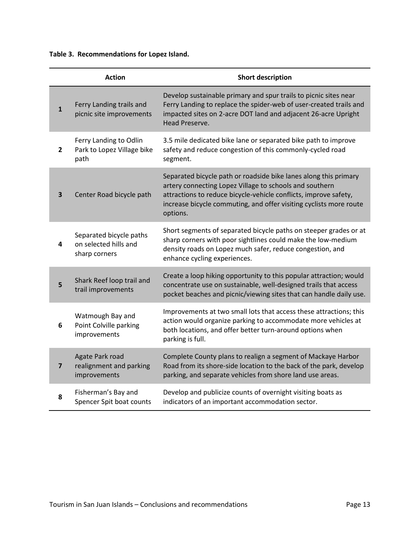**Table 3. Recommendations for Lopez Island.** 

|                | <b>Action</b>                                                     | <b>Short description</b>                                                                                                                                                                                                                                                          |
|----------------|-------------------------------------------------------------------|-----------------------------------------------------------------------------------------------------------------------------------------------------------------------------------------------------------------------------------------------------------------------------------|
| $\mathbf{1}$   | Ferry Landing trails and<br>picnic site improvements              | Develop sustainable primary and spur trails to picnic sites near<br>Ferry Landing to replace the spider-web of user-created trails and<br>impacted sites on 2-acre DOT land and adjacent 26-acre Upright<br>Head Preserve.                                                        |
| 2              | Ferry Landing to Odlin<br>Park to Lopez Village bike<br>path      | 3.5 mile dedicated bike lane or separated bike path to improve<br>safety and reduce congestion of this commonly-cycled road<br>segment.                                                                                                                                           |
| 3              | Center Road bicycle path                                          | Separated bicycle path or roadside bike lanes along this primary<br>artery connecting Lopez Village to schools and southern<br>attractions to reduce bicycle-vehicle conflicts, improve safety,<br>increase bicycle commuting, and offer visiting cyclists more route<br>options. |
| 4              | Separated bicycle paths<br>on selected hills and<br>sharp corners | Short segments of separated bicycle paths on steeper grades or at<br>sharp corners with poor sightlines could make the low-medium<br>density roads on Lopez much safer, reduce congestion, and<br>enhance cycling experiences.                                                    |
| 5              | Shark Reef loop trail and<br>trail improvements                   | Create a loop hiking opportunity to this popular attraction; would<br>concentrate use on sustainable, well-designed trails that access<br>pocket beaches and picnic/viewing sites that can handle daily use.                                                                      |
| 6              | Watmough Bay and<br>Point Colville parking<br>improvements        | Improvements at two small lots that access these attractions; this<br>action would organize parking to accommodate more vehicles at<br>both locations, and offer better turn-around options when<br>parking is full.                                                              |
| $\overline{ }$ | Agate Park road<br>realignment and parking<br>improvements        | Complete County plans to realign a segment of Mackaye Harbor<br>Road from its shore-side location to the back of the park, develop<br>parking, and separate vehicles from shore land use areas.                                                                                   |
| 8              | Fisherman's Bay and<br>Spencer Spit boat counts                   | Develop and publicize counts of overnight visiting boats as<br>indicators of an important accommodation sector.                                                                                                                                                                   |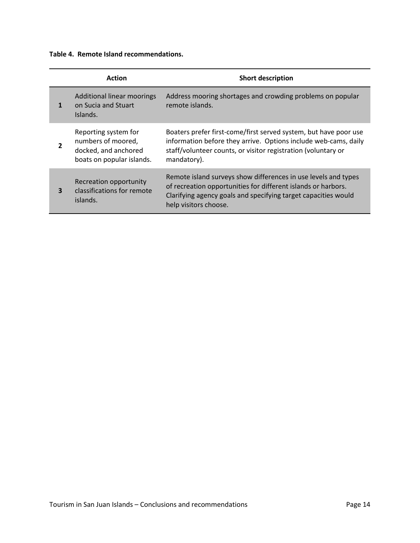**Table 4. Remote Island recommendations.** 

|   | <b>Action</b>                                                                                   | <b>Short description</b>                                                                                                                                                                                                   |
|---|-------------------------------------------------------------------------------------------------|----------------------------------------------------------------------------------------------------------------------------------------------------------------------------------------------------------------------------|
|   | Additional linear moorings<br>on Sucia and Stuart<br>Islands.                                   | Address mooring shortages and crowding problems on popular<br>remote islands.                                                                                                                                              |
| 2 | Reporting system for<br>numbers of moored,<br>docked, and anchored<br>boats on popular islands. | Boaters prefer first-come/first served system, but have poor use<br>information before they arrive. Options include web-cams, daily<br>staff/volunteer counts, or visitor registration (voluntary or<br>mandatory).        |
| 3 | Recreation opportunity<br>classifications for remote<br>islands.                                | Remote island surveys show differences in use levels and types<br>of recreation opportunities for different islands or harbors.<br>Clarifying agency goals and specifying target capacities would<br>help visitors choose. |